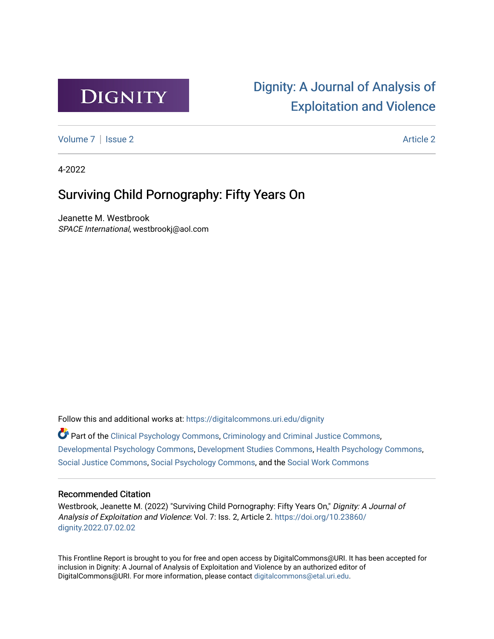

# [Dignity: A Journal of Analysis of](https://digitalcommons.uri.edu/dignity)  [Exploitation and Violence](https://digitalcommons.uri.edu/dignity)

[Volume 7](https://digitalcommons.uri.edu/dignity/vol7) | [Issue 2](https://digitalcommons.uri.edu/dignity/vol7/iss2) Article 2

4-2022

## Surviving Child Pornography: Fifty Years On

Jeanette M. Westbrook SPACE International, westbrookj@aol.com

Follow this and additional works at: [https://digitalcommons.uri.edu/dignity](https://digitalcommons.uri.edu/dignity?utm_source=digitalcommons.uri.edu%2Fdignity%2Fvol7%2Fiss2%2F2&utm_medium=PDF&utm_campaign=PDFCoverPages) 

Part of the [Clinical Psychology Commons,](http://network.bepress.com/hgg/discipline/406?utm_source=digitalcommons.uri.edu%2Fdignity%2Fvol7%2Fiss2%2F2&utm_medium=PDF&utm_campaign=PDFCoverPages) [Criminology and Criminal Justice Commons](http://network.bepress.com/hgg/discipline/367?utm_source=digitalcommons.uri.edu%2Fdignity%2Fvol7%2Fiss2%2F2&utm_medium=PDF&utm_campaign=PDFCoverPages), [Developmental Psychology Commons](http://network.bepress.com/hgg/discipline/410?utm_source=digitalcommons.uri.edu%2Fdignity%2Fvol7%2Fiss2%2F2&utm_medium=PDF&utm_campaign=PDFCoverPages), [Development Studies Commons,](http://network.bepress.com/hgg/discipline/1422?utm_source=digitalcommons.uri.edu%2Fdignity%2Fvol7%2Fiss2%2F2&utm_medium=PDF&utm_campaign=PDFCoverPages) [Health Psychology Commons](http://network.bepress.com/hgg/discipline/411?utm_source=digitalcommons.uri.edu%2Fdignity%2Fvol7%2Fiss2%2F2&utm_medium=PDF&utm_campaign=PDFCoverPages), [Social Justice Commons,](http://network.bepress.com/hgg/discipline/1432?utm_source=digitalcommons.uri.edu%2Fdignity%2Fvol7%2Fiss2%2F2&utm_medium=PDF&utm_campaign=PDFCoverPages) [Social Psychology Commons](http://network.bepress.com/hgg/discipline/414?utm_source=digitalcommons.uri.edu%2Fdignity%2Fvol7%2Fiss2%2F2&utm_medium=PDF&utm_campaign=PDFCoverPages), and the [Social Work Commons](http://network.bepress.com/hgg/discipline/713?utm_source=digitalcommons.uri.edu%2Fdignity%2Fvol7%2Fiss2%2F2&utm_medium=PDF&utm_campaign=PDFCoverPages) 

### Recommended Citation

Westbrook, Jeanette M. (2022) "Surviving Child Pornography: Fifty Years On," Dignity: A Journal of Analysis of Exploitation and Violence: Vol. 7: Iss. 2, Article 2. [https://doi.org/10.23860/](https://doi.org/10.23860/dignity.2022.07.02.02) [dignity.2022.07.02.02](https://doi.org/10.23860/dignity.2022.07.02.02) 

This Frontline Report is brought to you for free and open access by DigitalCommons@URI. It has been accepted for inclusion in Dignity: A Journal of Analysis of Exploitation and Violence by an authorized editor of DigitalCommons@URI. For more information, please contact [digitalcommons@etal.uri.edu.](mailto:digitalcommons@etal.uri.edu)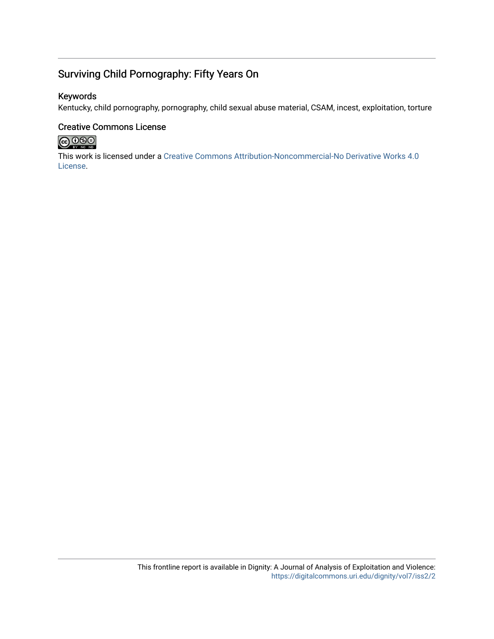### Surviving Child Pornography: Fifty Years On

### Keywords

Kentucky, child pornography, pornography, child sexual abuse material, CSAM, incest, exploitation, torture

### Creative Commons License



This work is licensed under a [Creative Commons Attribution-Noncommercial-No Derivative Works 4.0](https://creativecommons.org/licenses/by-nc-nd/4.0/) [License](https://creativecommons.org/licenses/by-nc-nd/4.0/).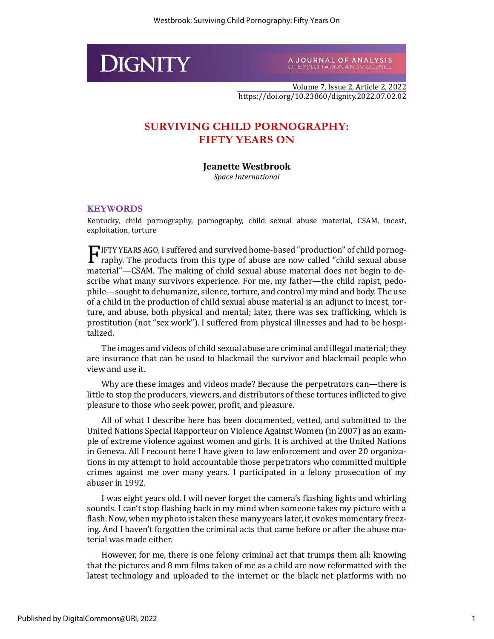

A JOURNAL OF ANALYSIS<br>OF EXPLOITATION AND VIOLENCE

Volume 7, Issue 2, Article 2, 2022 https://doi.org/10.23860/dignity.2022.07.02.02

### **SURVIVING CHILD PORNOGRAPHY: FIFTY YEARS ON**

### **Jeanette Westbrook**

*Space International*

### **KEYWORDS**

Kentucky, child pornography, pornography, child sexual abuse material, CSAM, incest, exploitation, torture

IFTY YEARS AGO, I suffered and survived home-based "production" of child pornog-F raphy. The products from this type of abuse are now called "child sexual abuse material"—CSAM. The making of child sexual abuse material does not begin to describe what many survivors experience. For me, my father—the child rapist, pedophile—sought to dehumanize, silence, torture, and control my mind and body. The use of a child in the production of child sexual abuse material is an adjunct to incest, torture, and abuse, both physical and mental; later, there was sex trafficking, which is prostitution (not "sex work"). I suffered from physical illnesses and had to be hospitalized.

The images and videos of child sexual abuse are criminal and illegal material; they are insurance that can be used to blackmail the survivor and blackmail people who view and use it.

Why are these images and videos made? Because the perpetrators can—there is little to stop the producers, viewers, and distributors of these tortures inflicted to give pleasure to those who seek power, profit, and pleasure.

All of what I describe here has been documented, vetted, and submitted to the United Nations Special Rapporteur on Violence Against Women (in 2007) as an example of extreme violence against women and girls. It is archived at the United Nations in Geneva. All I recount here I have given to law enforcement and over 20 organizations in my attempt to hold accountable those perpetrators who committed multiple crimes against me over many years. I participated in a felony prosecution of my abuser in 1992.

I was eight years old. I will never forget the camera's flashing lights and whirling sounds. I can't stop flashing back in my mind when someone takes my picture with a flash. Now, when my photo is taken these many years later, it evokes momentary freezing. And I haven't forgotten the criminal acts that came before or after the abuse material was made either.

However, for me, there is one felony criminal act that trumps them all: knowing that the pictures and 8 mm films taken of me as a child are now reformatted with the latest technology and uploaded to the internet or the black net platforms with no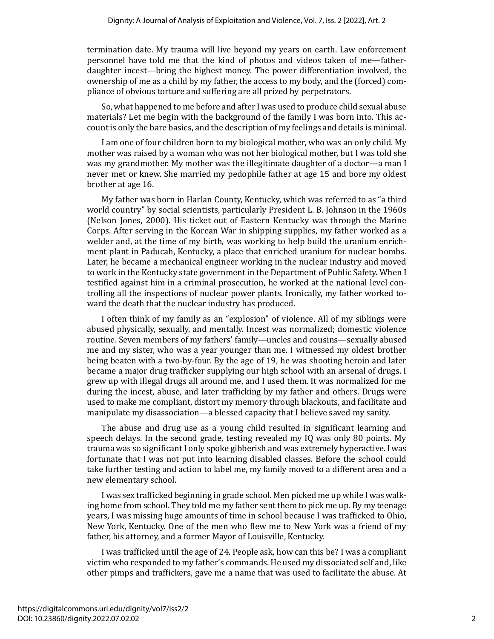termination date. My trauma will live beyond my years on earth. Law enforcement personnel have told me that the kind of photos and videos taken of me—fatherdaughter incest—bring the highest money. The power differentiation involved, the ownership of me as a child by my father, the access to my body, and the (forced) compliance of obvious torture and suffering are all prized by perpetrators.

So, what happened to me before and after I was used to produce child sexual abuse materials? Let me begin with the background of the family I was born into. This account is only the bare basics, and the description of my feelings and details is minimal.

I am one of four children born to my biological mother, who was an only child. My mother was raised by a woman who was not her biological mother, but I was told she was my grandmother. My mother was the illegitimate daughter of a doctor—a man I never met or knew. She married my pedophile father at age 15 and bore my oldest brother at age 16.

My father was born in Harlan County, Kentucky, which was referred to as "a third world country" by social scientists, particularly President L. B. Johnson in the 1960s (Nelson Jones, 2000). His ticket out of Eastern Kentucky was through the Marine Corps. After serving in the Korean War in shipping supplies, my father worked as a welder and, at the time of my birth, was working to help build the uranium enrichment plant in Paducah, Kentucky, a place that enriched uranium for nuclear bombs. Later, he became a mechanical engineer working in the nuclear industry and moved to work in the Kentucky state government in the Department of Public Safety. When I testified against him in a criminal prosecution, he worked at the national level controlling all the inspections of nuclear power plants. Ironically, my father worked toward the death that the nuclear industry has produced.

I often think of my family as an "explosion" of violence. All of my siblings were abused physically, sexually, and mentally. Incest was normalized; domestic violence routine. Seven members of my fathers' family—uncles and cousins—sexually abused me and my sister, who was a year younger than me. I witnessed my oldest brother being beaten with a two-by-four. By the age of 19, he was shooting heroin and later became a major drug trafficker supplying our high school with an arsenal of drugs. I grew up with illegal drugs all around me, and I used them. It was normalized for me during the incest, abuse, and later trafficking by my father and others. Drugs were used to make me compliant, distort my memory through blackouts, and facilitate and manipulate my disassociation—a blessed capacity that I believe saved my sanity.

The abuse and drug use as a young child resulted in significant learning and speech delays. In the second grade, testing revealed my IQ was only 80 points. My trauma was so significant I only spoke gibberish and was extremely hyperactive. I was fortunate that I was not put into learning disabled classes. Before the school could take further testing and action to label me, my family moved to a different area and a new elementary school.

I was sex trafficked beginning in grade school. Men picked me up while I was walking home from school. They told me my father sent them to pick me up. By my teenage years, I was missing huge amounts of time in school because I was trafficked to Ohio, New York, Kentucky. One of the men who flew me to New York was a friend of my father, his attorney, and a former Mayor of Louisville, Kentucky.

I was trafficked until the age of 24. People ask, how can this be? I was a compliant victim who responded to my father's commands. He used my dissociated self and, like other pimps and traffickers, gave me a name that was used to facilitate the abuse. At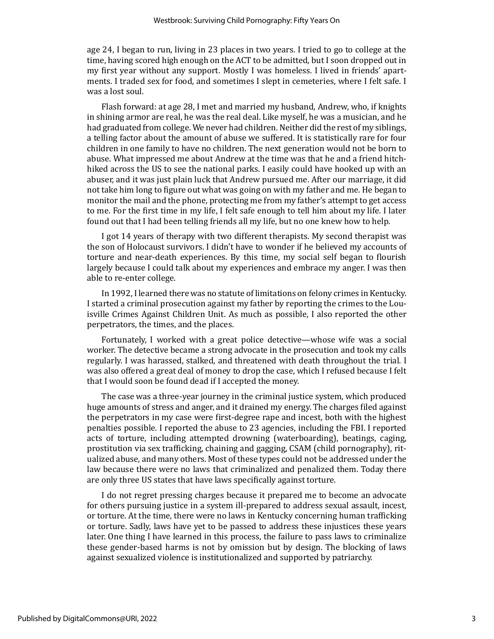age 24, I began to run, living in 23 places in two years. I tried to go to college at the time, having scored high enough on the ACT to be admitted, but I soon dropped out in my first year without any support. Mostly I was homeless. I lived in friends' apartments. I traded sex for food, and sometimes I slept in cemeteries, where I felt safe. I was a lost soul.

Flash forward: at age 28, I met and married my husband, Andrew, who, if knights in shining armor are real, he was the real deal. Like myself, he was a musician, and he had graduated from college. We never had children. Neither did the rest of my siblings, a telling factor about the amount of abuse we suffered. It is statistically rare for four children in one family to have no children. The next generation would not be born to abuse. What impressed me about Andrew at the time was that he and a friend hitchhiked across the US to see the national parks. I easily could have hooked up with an abuser, and it was just plain luck that Andrew pursued me. After our marriage, it did not take him long to figure out what was going on with my father and me. He began to monitor the mail and the phone, protecting me from my father's attempt to get access to me. For the first time in my life, I felt safe enough to tell him about my life. I later found out that I had been telling friends all my life, but no one knew how to help.

I got 14 years of therapy with two different therapists. My second therapist was the son of Holocaust survivors. I didn't have to wonder if he believed my accounts of torture and near-death experiences. By this time, my social self began to flourish largely because I could talk about my experiences and embrace my anger. I was then able to re-enter college.

In 1992, I learned there was no statute of limitations on felony crimes in Kentucky. I started a criminal prosecution against my father by reporting the crimes to the Louisville Crimes Against Children Unit. As much as possible, I also reported the other perpetrators, the times, and the places.

Fortunately, I worked with a great police detective—whose wife was a social worker. The detective became a strong advocate in the prosecution and took my calls regularly. I was harassed, stalked, and threatened with death throughout the trial. I was also offered a great deal of money to drop the case, which I refused because I felt that I would soon be found dead if I accepted the money.

The case was a three-year journey in the criminal justice system, which produced huge amounts of stress and anger, and it drained my energy. The charges filed against the perpetrators in my case were first-degree rape and incest, both with the highest penalties possible. I reported the abuse to 23 agencies, including the FBI. I reported acts of torture, including attempted drowning (waterboarding), beatings, caging, prostitution via sex trafficking, chaining and gagging, CSAM (child pornography), ritualized abuse, and many others. Most of these types could not be addressed under the law because there were no laws that criminalized and penalized them. Today there are only three US states that have laws specifically against torture.

I do not regret pressing charges because it prepared me to become an advocate for others pursuing justice in a system ill-prepared to address sexual assault, incest, or torture. At the time, there were no laws in Kentucky concerning human trafficking or torture. Sadly, laws have yet to be passed to address these injustices these years later. One thing I have learned in this process, the failure to pass laws to criminalize these gender-based harms is not by omission but by design. The blocking of laws against sexualized violence is institutionalized and supported by patriarchy.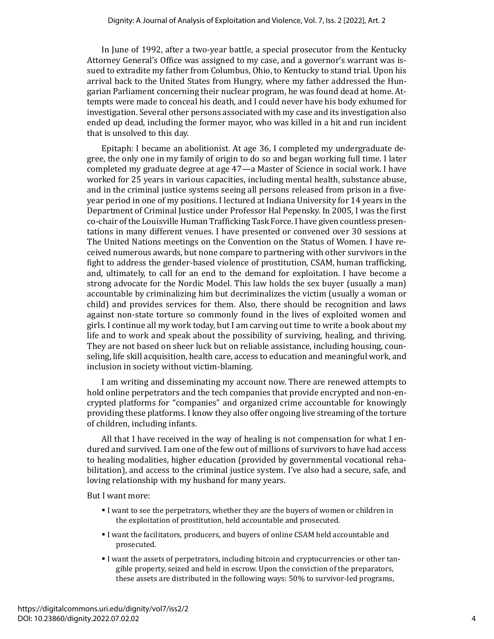In June of 1992, after a two-year battle, a special prosecutor from the Kentucky Attorney General's Office was assigned to my case, and a governor's warrant was issued to extradite my father from Columbus, Ohio, to Kentucky to stand trial. Upon his arrival back to the United States from Hungry, where my father addressed the Hungarian Parliament concerning their nuclear program, he was found dead at home. Attempts were made to conceal his death, and I could never have his body exhumed for investigation. Several other persons associated with my case and its investigation also ended up dead, including the former mayor, who was killed in a hit and run incident that is unsolved to this day.

Epitaph: I became an abolitionist. At age 36, I completed my undergraduate degree, the only one in my family of origin to do so and began working full time. I later completed my graduate degree at age 47—a Master of Science in social work. I have worked for 25 years in various capacities, including mental health, substance abuse, and in the criminal justice systems seeing all persons released from prison in a fiveyear period in one of my positions. I lectured at Indiana University for 14 years in the Department of Criminal Justice under Professor Hal Pepensky. In 2005, I was the first co-chair of the Louisville Human Trafficking Task Force. I have given countless presentations in many different venues. I have presented or convened over 30 sessions at The United Nations meetings on the Convention on the Status of Women. I have received numerous awards, but none compare to partnering with other survivors in the fight to address the gender-based violence of prostitution, CSAM, human trafficking, and, ultimately, to call for an end to the demand for exploitation. I have become a strong advocate for the Nordic Model. This law holds the sex buyer (usually a man) accountable by criminalizing him but decriminalizes the victim (usually a woman or child) and provides services for them. Also, there should be recognition and laws against non-state torture so commonly found in the lives of exploited women and girls. I continue all my work today, but I am carving out time to write a book about my life and to work and speak about the possibility of surviving, healing, and thriving. They are not based on sheer luck but on reliable assistance, including housing, counseling, life skill acquisition, health care, access to education and meaningful work, and inclusion in society without victim-blaming.

I am writing and disseminating my account now. There are renewed attempts to hold online perpetrators and the tech companies that provide encrypted and non-encrypted platforms for "companies" and organized crime accountable for knowingly providing these platforms. I know they also offer ongoing live streaming of the torture of children, including infants.

All that I have received in the way of healing is not compensation for what I endured and survived. I am one of the few out of millions of survivors to have had access to healing modalities, higher education (provided by governmental vocational rehabilitation), and access to the criminal justice system. I've also had a secure, safe, and loving relationship with my husband for many years.

But I want more:

- I want to see the perpetrators, whether they are the buyers of women or children in the exploitation of prostitution, held accountable and prosecuted.
- I want the facilitators, producers, and buyers of online CSAM held accountable and prosecuted.
- I want the assets of perpetrators, including bitcoin and cryptocurrencies or other tangible property, seized and held in escrow. Upon the conviction of the preparators, these assets are distributed in the following ways: 50% to survivor-led programs,